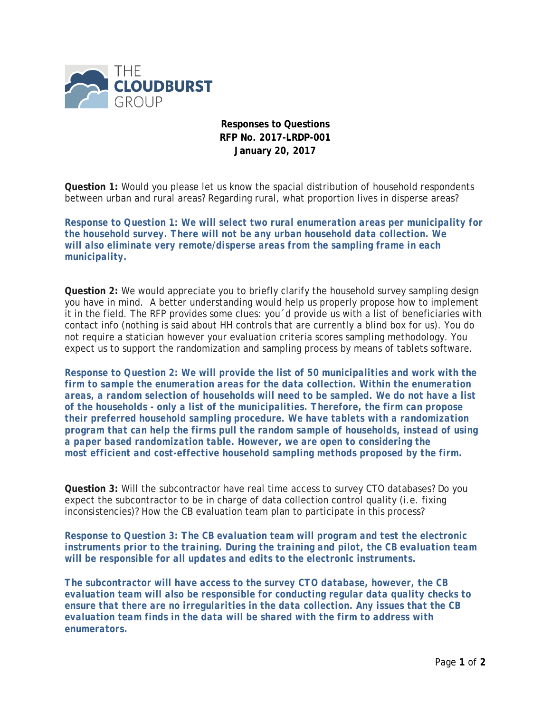

**Responses to Questions RFP No. 2017-LRDP-001 January 20, 2017**

**Question 1:** Would you please let us know the spacial distribution of household respondents between urban and rural areas? Regarding rural, what proportion lives in disperse areas?

*Response to Question 1: We will select two rural enumeration areas per municipality for the household survey. There will not be any urban household data collection. We will also eliminate very remote/disperse areas from the sampling frame in each municipality.*

**Question 2:** We would appreciate you to briefly clarify the household survey sampling design you have in mind. A better understanding would help us properly propose how to implement it in the field. The RFP provides some clues: you´d provide us with a list of beneficiaries with contact info (nothing is said about HH controls that are currently a blind box for us). You do not require a statician however your evaluation criteria scores sampling methodology. You expect us to support the randomization and sampling process by means of tablets software.

*Response to Question 2: We will provide the list of 50 municipalities and work with the firm to sample the enumeration areas for the data collection. Within the enumeration areas, a random selection of households will need to be sampled. We do not have a list of the households - only a list of the municipalities. Therefore, the firm can propose their preferred household sampling procedure. We have tablets with a randomization program that can help the firms pull the random sample of households, instead of using a paper based randomization table. However, we are open to considering the most efficient and cost-effective household sampling methods proposed by the firm.*

**Question 3:** Will the subcontractor have real time access to survey CTO databases? Do you expect the subcontractor to be in charge of data collection control quality (i.e. fixing inconsistencies)? How the CB evaluation team plan to participate in this process?

*Response to Question 3: The CB evaluation team will program and test the electronic instruments prior to the training. During the training and pilot, the CB evaluation team will be responsible for all updates and edits to the electronic instruments.*

*The subcontractor will have access to the survey CTO database, however, the CB evaluation team will also be responsible for conducting regular data quality checks to ensure that there are no irregularities in the data collection. Any issues that the CB evaluation team finds in the data will be shared with the firm to address with enumerators.*